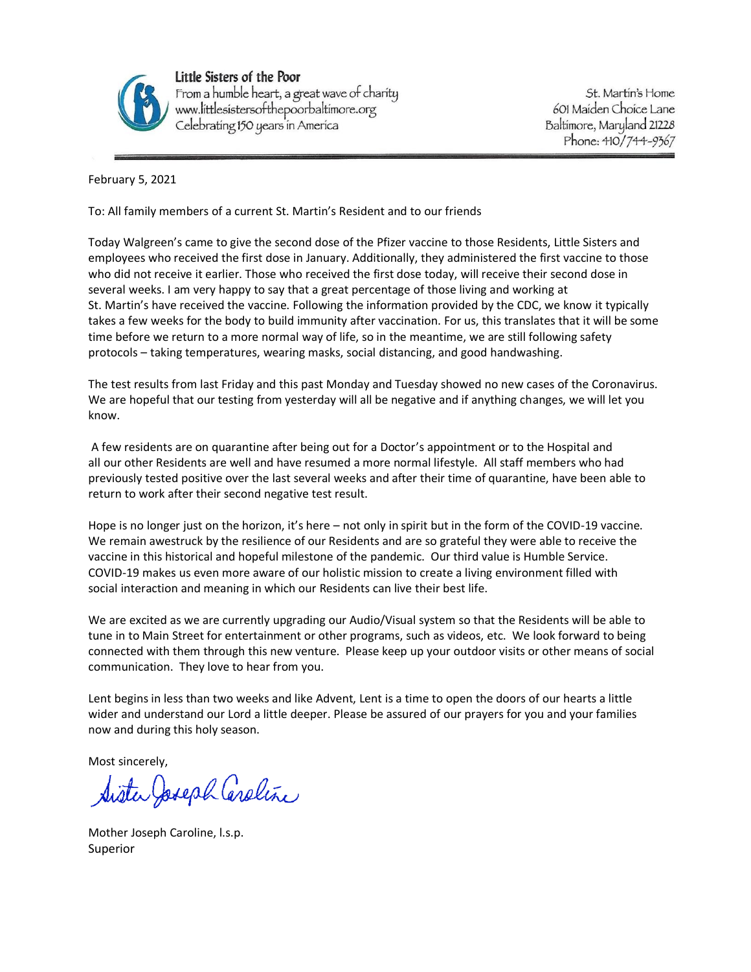

Little Sisters of the Poor From a humble heart, a great wave of charity<br>www.littlesistersofthepoorbaltimore.org Celebrating 150 years in America

St. Martin's Home 601 Maiden Choice Lane Baltimore, Maryland 21228 Phone: 410/744-9367

February 5, 2021

To: All family members of a current St. Martin's Resident and to our friends

Today Walgreen's came to give the second dose of the Pfizer vaccine to those Residents, Little Sisters and employees who received the first dose in January. Additionally, they administered the first vaccine to those who did not receive it earlier. Those who received the first dose today, will receive their second dose in several weeks. I am very happy to say that a great percentage of those living and working at St. Martin's have received the vaccine. Following the information provided by the CDC, we know it typically takes a few weeks for the body to build immunity after vaccination. For us, this translates that it will be some time before we return to a more normal way of life, so in the meantime, we are still following safety protocols – taking temperatures, wearing masks, social distancing, and good handwashing.

The test results from last Friday and this past Monday and Tuesday showed no new cases of the Coronavirus. We are hopeful that our testing from yesterday will all be negative and if anything changes, we will let you know.

A few residents are on quarantine after being out for a Doctor's appointment or to the Hospital and all our other Residents are well and have resumed a more normal lifestyle. All staff members who had previously tested positive over the last several weeks and after their time of quarantine, have been able to return to work after their second negative test result.

Hope is no longer just on the horizon, it's here – not only in spirit but in the form of the COVID-19 vaccine. We remain awestruck by the resilience of our Residents and are so grateful they were able to receive the vaccine in this historical and hopeful milestone of the pandemic. Our third value is Humble Service. COVID-19 makes us even more aware of our holistic mission to create a living environment filled with social interaction and meaning in which our Residents can live their best life.

We are excited as we are currently upgrading our Audio/Visual system so that the Residents will be able to tune in to Main Street for entertainment or other programs, such as videos, etc. We look forward to being connected with them through this new venture. Please keep up your outdoor visits or other means of social communication. They love to hear from you.

Lent begins in less than two weeks and like Advent, Lent is a time to open the doors of our hearts a little wider and understand our Lord a little deeper. Please be assured of our prayers for you and your families now and during this holy season.

Most sincerely,

Sister Joseph Caroline

Mother Joseph Caroline, l.s.p. Superior